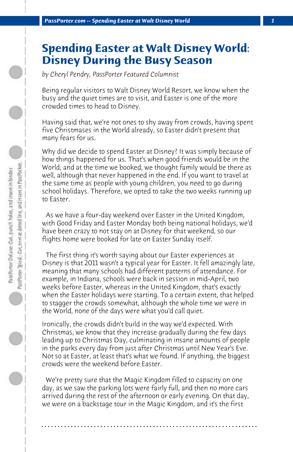## **Spending Easter at Walt Disney World: Disney During the Busy Season**

*by Cheryl Pendry, PassPorter Featured Columnist*

Being regular visitors to Walt Disney World Resort, we know when the busy and the quiet times are to visit, and Easter is one of the more crowded times to head to Disney.

Having said that, we're not ones to shy away from crowds, having spent five Christmases in the World already, so Easter didn't present that many fears for us.

Why did we decide to spend Easter at Disney? It was simply because of how things happened for us. That's when good friends would be in the World, and at the time we booked, we thought family would be there as well, although that never happened in the end. If you want to travel at the same time as people with young children, you need to go during school holidays. Therefore, we opted to take the two weeks running up to Easter.

 As we have a four-day weekend over Easter in the United Kingdom, with Good Friday and Easter Monday both being national holidays, we'd have been crazy to not stay on at Disney for that weekend, so our flights home were booked for late on Easter Sunday itself.

 The first thing it's worth saying about our Easter experiences at Disney is that 2011 wasn't a typical year for Easter. It fell amazingly late, meaning that many schools had different patterns of attendance. For example, in Indiana, schools were back in session in mid-April, two weeks before Easter, whereas in the United Kingdom, that's exactly when the Easter holidays were starting. To a certain extent, that helped to stagger the crowds somewhat, although the whole time we were in the World, none of the days were what you'd call quiet.

Ironically, the crowds didn't build in the way we'd expected. With Christmas, we know that they increase gradually during the few days leading up to Christmas Day, culminating in insane amounts of people in the parks every day from just after Christmas until New Year's Eve. Not so at Easter, at least that's what we found. If anything, the biggest crowds were the weekend before Easter.

 We're pretty sure that the Magic Kingdom filled to capacity on one day, as we saw the parking lots were fairly full, and then no more cars arrived during the rest of the afternoon or early evening. On that day, we were on a backstage tour in the Magic Kingdom, and it's the first

**. . . . . . . . . . . . . . . . . . . . . . . . . . . . . . . . . . . . . . . . . . . . . . . . . . . . . . . . . . . . . . . . . .**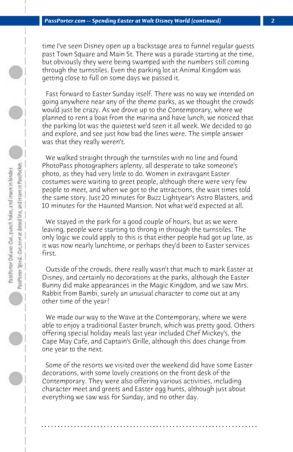time I've seen Disney open up a backstage area to funnel regular guests past Town Square and Main St. There was a parade starting at the time, but obviously they were being swamped with the numbers still coming through the turnstiles. Even the parking lot at Animal Kingdom was getting close to full on some days we passed it.

 Fast forward to Easter Sunday itself. There was no way we intended on going anywhere near any of the theme parks, as we thought the crowds would just be crazy. As we drove up to the Contemporary, where we planned to rent a boat from the marina and have lunch, we noticed that the parking lot was the quietest we'd seen it all week. We decided to go and explore, and see just how bad the lines were. The simple answer was that they really weren't.

 We walked straight through the turnstiles with no line and found PhotoPass photographers aplenty, all desperate to take someone's photo, as they had very little to do. Women in extravgant Easter costumes were waiting to greet people, although there were very few people to meet, and when we got to the attractions, the wait times told the same story. Just 20 minutes for Buzz Lightyear's Astro Blasters, and 10 minutes for the Haunted Mansion. Not what we'd expected at all.

 We stayed in the park for a good couple of hours, but as we were leaving, people were starting to throng in through the turnstiles. The only logic we could apply to this is that either people had got up late, as it was now nearly lunchtime, or perhaps they'd been to Easter services first.

 Outside of the crowds, there really wasn't that much to mark Easter at Disney, and certainly no decorations at the parks, although the Easter Bunny did make appearances in the Magic Kingdom, and we saw Mrs. Rabbit from Bambi, surely an unusual character to come out at any other time of the year?

 We made our way to the Wave at the Contemporary, where we were able to enjoy a traditional Easter brunch, which was pretty good. Others offering special holiday meals last year included Chef Mickey's, the Cape May Cafe, and Captain's Grille, although this does change from one year to the next.

 Some of the resorts we visited over the weekend did have some Easter decorations, with some lovely creations on the front desk of the Contemporary. They were also offering various activities, including character meet and greets and Easter egg hunts, although just about everything we saw was for Sunday, and no other day.

**. . . . . . . . . . . . . . . . . . . . . . . . . . . . . . . . . . . . . . . . . . . . . . . . . . . . . . . . . . . . . . . . . .**